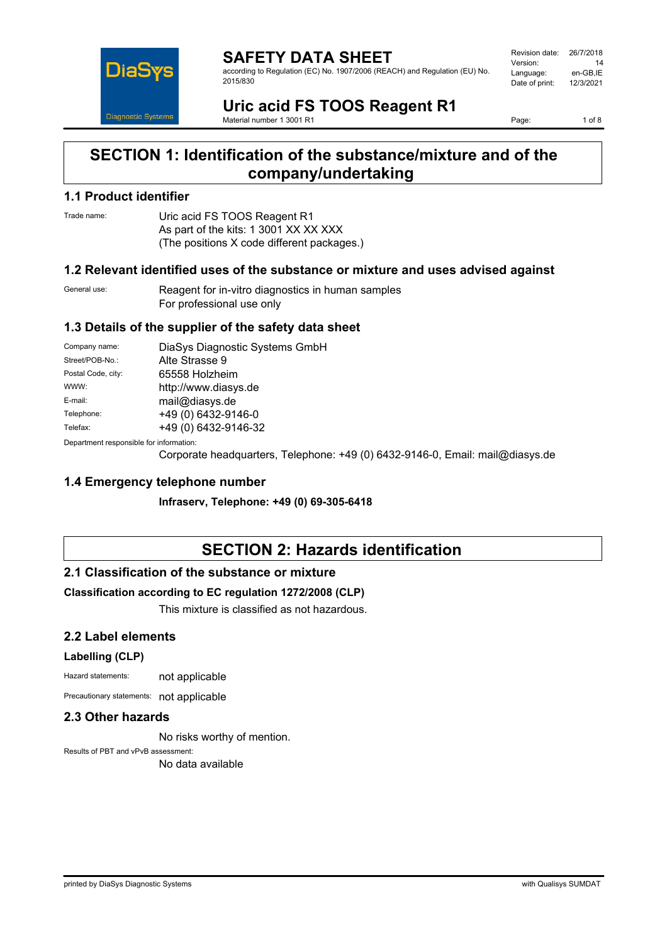

**SAFETY DATA SHEET** according to Regulation (EC) No. 1907/2006 (REACH) and Regulation (EU) No. 2015/830

| Revision date: | 26/7/2018 |
|----------------|-----------|
| Version:       | 14        |
| Language:      | en-GB.IE  |
| Date of print: | 12/3/2021 |
|                |           |

**Uric acid FS TOOS Reagent R1** Material number 1 3001 R1

Page: 1 of 8

## **SECTION 1: Identification of the substance/mixture and of the company/undertaking**

### **1.1 Product identifier**

Trade name: Uric acid FS TOOS Reagent R1 As part of the kits: 1 3001 XX XX XXX (The positions X code different packages.)

#### **1.2 Relevant identified uses of the substance or mixture and uses advised against**

General use: Reagent for in-vitro diagnostics in human samples For professional use only

#### **1.3 Details of the supplier of the safety data sheet**

| Company name:                            | DiaSys Diagnostic Systems GmbH |  |
|------------------------------------------|--------------------------------|--|
| Street/POB-No.:                          | Alte Strasse 9                 |  |
| Postal Code, city:                       | 65558 Holzheim                 |  |
| WWW:                                     | http://www.diasys.de           |  |
| E-mail:                                  | mail@diasys.de                 |  |
| Telephone:                               | +49 (0) 6432-9146-0            |  |
| Telefax:                                 | +49 (0) 6432-9146-32           |  |
| Denestraent seanenaikle fas information: |                                |  |

Department responsible for information:

Corporate headquarters, Telephone: +49 (0) 6432-9146-0, Email: mail@diasys.de

#### **1.4 Emergency telephone number**

**Infraserv, Telephone: +49 (0) 69-305-6418**

# **SECTION 2: Hazards identification**

#### **2.1 Classification of the substance or mixture**

#### **Classification according to EC regulation 1272/2008 (CLP)**

This mixture is classified as not hazardous.

#### **2.2 Label elements**

#### **Labelling (CLP)**

Hazard statements: not applicable

Precautionary statements: not applicable

### **2.3 Other hazards**

No risks worthy of mention.

Results of PBT and vPvB assessment: No data available

printed by DiaSys Diagnostic Systems with Qualisys SUMDAT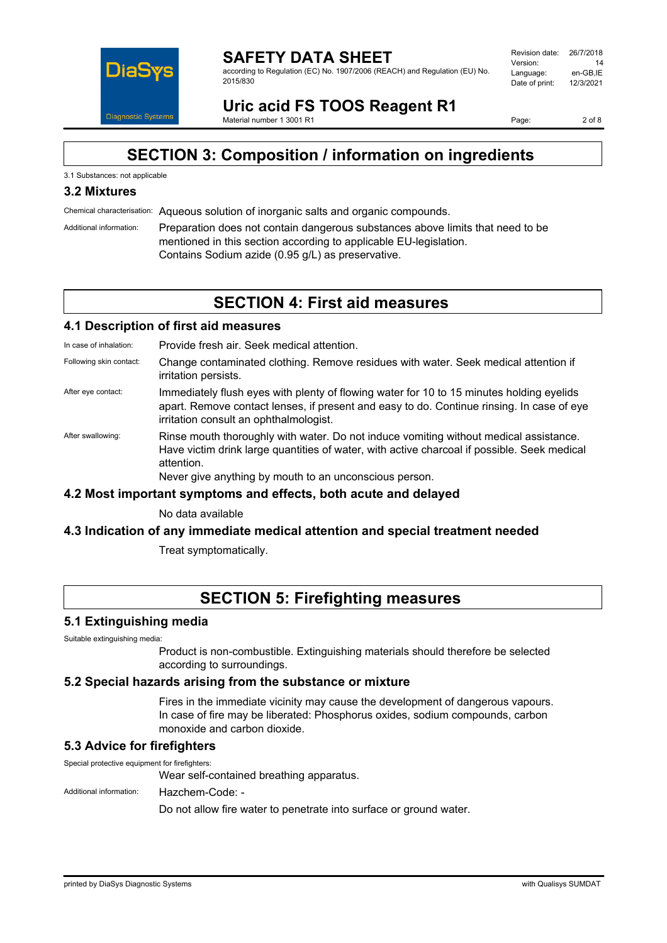

according to Regulation (EC) No. 1907/2006 (REACH) and Regulation (EU) No. 2015/830

| Revision date: | 26/7/2018 |
|----------------|-----------|
| Version:       | 14        |
| Language:      | en-GB.IE  |
| Date of print: | 12/3/2021 |
|                |           |

**Uric acid FS TOOS Reagent R1** Material number 1 3001 R1

Page: 2 of 8

# **SECTION 3: Composition / information on ingredients**

#### 3.1 Substances: not applicable

### **3.2 Mixtures**

Chemical characterisation: Aqueous solution of inorganic salts and organic compounds.

Additional information: Preparation does not contain dangerous substances above limits that need to be mentioned in this section according to applicable EU-legislation. Contains Sodium azide (0.95 g/L) as preservative.

### **SECTION 4: First aid measures**

#### **4.1 Description of first aid measures**

In case of inhalation: Provide fresh air. Seek medical attention.

- Following skin contact: Change contaminated clothing. Remove residues with water. Seek medical attention if irritation persists.
- After eye contact: Immediately flush eyes with plenty of flowing water for 10 to 15 minutes holding eyelids apart. Remove contact lenses, if present and easy to do. Continue rinsing. In case of eye irritation consult an ophthalmologist.
- After swallowing: Rinse mouth thoroughly with water. Do not induce vomiting without medical assistance. Have victim drink large quantities of water, with active charcoal if possible. Seek medical attention.

Never give anything by mouth to an unconscious person.

#### **4.2 Most important symptoms and effects, both acute and delayed**

No data available

#### **4.3 Indication of any immediate medical attention and special treatment needed**

Treat symptomatically.

# **SECTION 5: Firefighting measures**

#### **5.1 Extinguishing media**

Suitable extinguishing media:

Product is non-combustible. Extinguishing materials should therefore be selected according to surroundings.

#### **5.2 Special hazards arising from the substance or mixture**

Fires in the immediate vicinity may cause the development of dangerous vapours. In case of fire may be liberated: Phosphorus oxides, sodium compounds, carbon monoxide and carbon dioxide.

#### **5.3 Advice for firefighters**

Special protective equipment for firefighters: Wear self-contained breathing apparatus. Additional information: Hazchem-Code: -Do not allow fire water to penetrate into surface or ground water.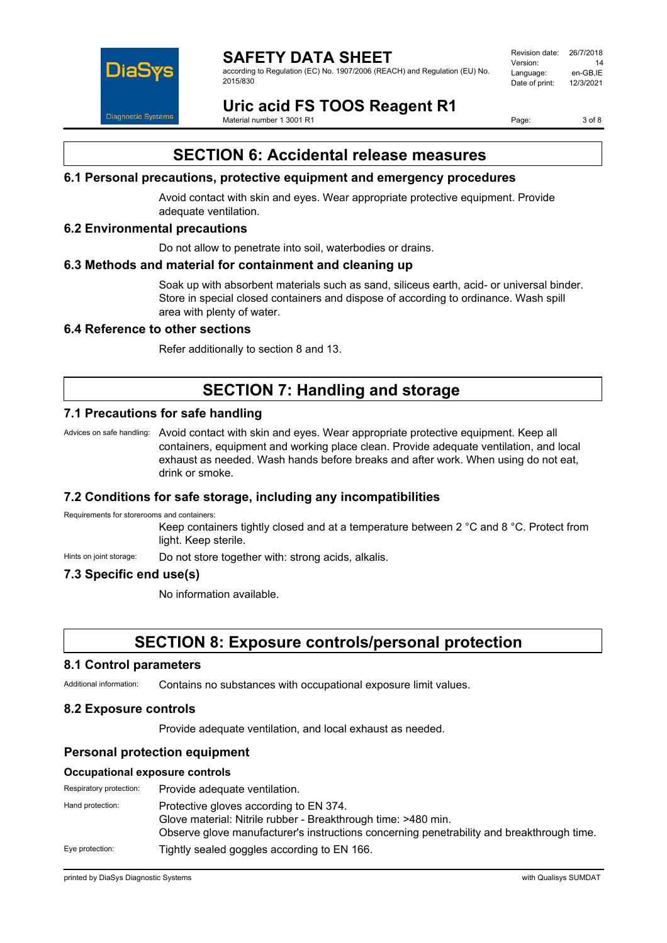

according to Regulation (EC) No. 1907/2006 (REACH) and Regulation (EU) No. 2015/830

| Revision date: | 26/7/2018 |
|----------------|-----------|
| Version:       | 14        |
| Language:      | en-GB.IE  |
| Date of print: | 12/3/2021 |
|                |           |

**Uric acid FS TOOS Reagent R1** Material number 1 3001 R1

Page: 3 of 8

# **SECTION 6: Accidental release measures**

#### **6.1 Personal precautions, protective equipment and emergency procedures**

Avoid contact with skin and eyes. Wear appropriate protective equipment. Provide adequate ventilation.

#### **6.2 Environmental precautions**

Do not allow to penetrate into soil, waterbodies or drains.

#### **6.3 Methods and material for containment and cleaning up**

Soak up with absorbent materials such as sand, siliceus earth, acid- or universal binder. Store in special closed containers and dispose of according to ordinance. Wash spill area with plenty of water.

#### **6.4 Reference to other sections**

Refer additionally to section 8 and 13.

## **SECTION 7: Handling and storage**

### **7.1 Precautions for safe handling**

Advices on safe handling: Avoid contact with skin and eyes. Wear appropriate protective equipment. Keep all containers, equipment and working place clean. Provide adequate ventilation, and local exhaust as needed. Wash hands before breaks and after work. When using do not eat, drink or smoke.

#### **7.2 Conditions for safe storage, including any incompatibilities**

Requirements for storerooms and containers:

Keep containers tightly closed and at a temperature between 2 °C and 8 °C. Protect from light. Keep sterile.

Hints on joint storage: Do not store together with: strong acids, alkalis.

### **7.3 Specific end use(s)**

No information available.

### **SECTION 8: Exposure controls/personal protection**

#### **8.1 Control parameters**

Additional information: Contains no substances with occupational exposure limit values.

#### **8.2 Exposure controls**

Provide adequate ventilation, and local exhaust as needed.

#### **Personal protection equipment**

#### **Occupational exposure controls**

| Respiratory protection: | Provide adequate ventilation.                                                                                                                                                                        |
|-------------------------|------------------------------------------------------------------------------------------------------------------------------------------------------------------------------------------------------|
| Hand protection:        | Protective gloves according to EN 374.<br>Glove material: Nitrile rubber - Breakthrough time: >480 min.<br>Observe glove manufacturer's instructions concerning penetrability and breakthrough time. |
| Eye protection:         | Tightly sealed goggles according to EN 166.                                                                                                                                                          |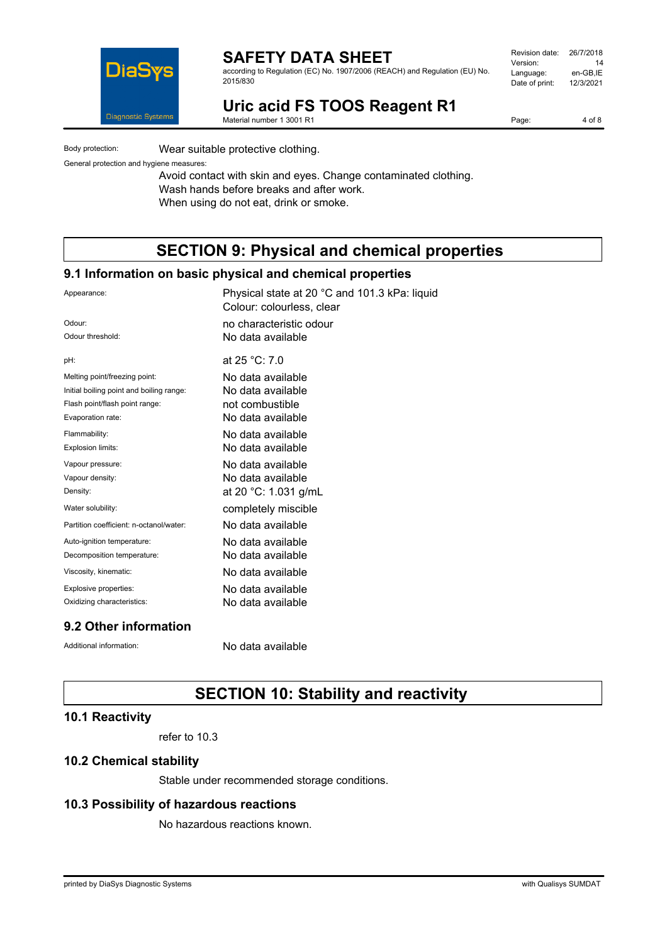

according to Regulation (EC) No. 1907/2006 (REACH) and Regulation (EU) No. 2015/830

| Revision date: | 26/7/2018 |
|----------------|-----------|
| Version:       | 14        |
| Language:      | en-GB,IE  |
| Date of print: | 12/3/2021 |
|                |           |

**Uric acid FS TOOS Reagent R1**

Material number 1 3001 R1

Page: 4 of 8

Body protection: Wear suitable protective clothing.

General protection and hygiene measures:

Avoid contact with skin and eyes. Change contaminated clothing. Wash hands before breaks and after work. When using do not eat, drink or smoke.

# **SECTION 9: Physical and chemical properties**

#### **9.1 Information on basic physical and chemical properties**

| Appearance:                              | Physical state at 20 °C and 101.3 kPa: liquid<br>Colour: colourless, clear |
|------------------------------------------|----------------------------------------------------------------------------|
| Odour:                                   | no characteristic odour                                                    |
| Odour threshold:                         | No data available                                                          |
| pH:                                      | at 25 °C: 7.0                                                              |
| Melting point/freezing point:            | No data available                                                          |
| Initial boiling point and boiling range: | No data available                                                          |
| Flash point/flash point range:           | not combustible                                                            |
| Evaporation rate:                        | No data available                                                          |
| Flammability:                            | No data available                                                          |
| Explosion limits:                        | No data available                                                          |
| Vapour pressure:                         | No data available                                                          |
| Vapour density:                          | No data available                                                          |
| Density:                                 | at 20 °C: 1.031 g/mL                                                       |
| Water solubility:                        | completely miscible                                                        |
| Partition coefficient: n-octanol/water:  | No data available                                                          |
| Auto-ignition temperature:               | No data available                                                          |
| Decomposition temperature:               | No data available                                                          |
| Viscosity, kinematic:                    | No data available                                                          |
| Explosive properties:                    | No data available                                                          |
| Oxidizing characteristics:               | No data available                                                          |
| 9.2 Other information                    |                                                                            |

Additional information: No data available

# **SECTION 10: Stability and reactivity**

### **10.1 Reactivity**

refer to 10.3

### **10.2 Chemical stability**

Stable under recommended storage conditions.

#### **10.3 Possibility of hazardous reactions**

No hazardous reactions known.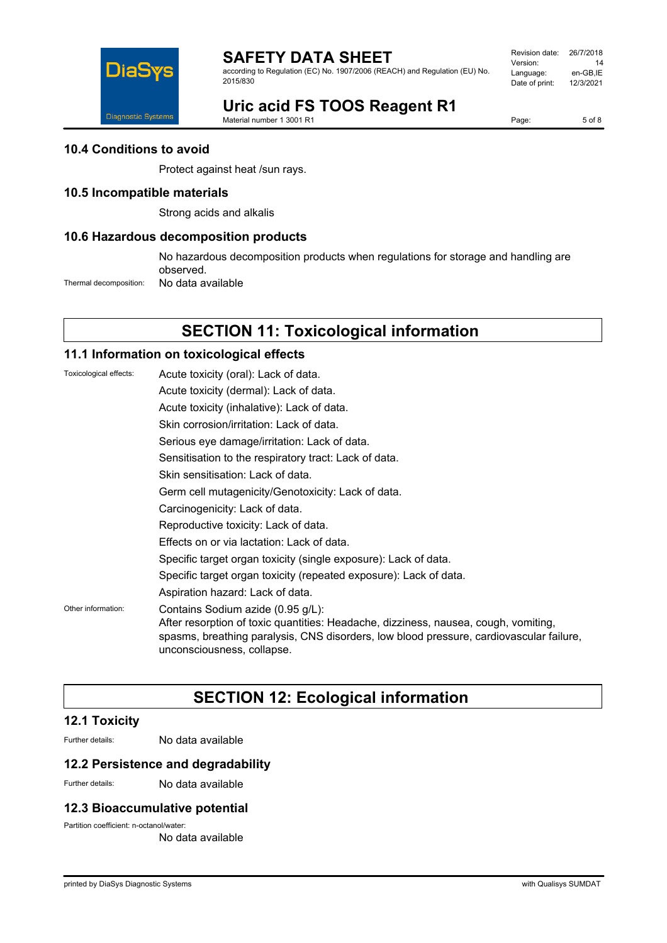

DiaSys Diagnostic Systems Revision date: 26/7/2018 Version: 14 Language: en-GB,IE<br>Date of print: 12/3/2021 Date of print:

# **Uric acid FS TOOS Reagent R1**

Material number 1 3001 R1

Page: 5 of 8

#### **10.4 Conditions to avoid**

Protect against heat /sun rays.

### **10.5 Incompatible materials**

Strong acids and alkalis

#### **10.6 Hazardous decomposition products**

No hazardous decomposition products when regulations for storage and handling are observed.

Thermal decomposition: No data available

## **SECTION 11: Toxicological information**

#### **11.1 Information on toxicological effects**

| Toxicological effects: | Acute toxicity (oral): Lack of data.                                                                                                                                                                                                              |
|------------------------|---------------------------------------------------------------------------------------------------------------------------------------------------------------------------------------------------------------------------------------------------|
|                        | Acute toxicity (dermal): Lack of data.                                                                                                                                                                                                            |
|                        | Acute toxicity (inhalative): Lack of data.                                                                                                                                                                                                        |
|                        | Skin corrosion/irritation: Lack of data.                                                                                                                                                                                                          |
|                        | Serious eye damage/irritation: Lack of data.                                                                                                                                                                                                      |
|                        | Sensitisation to the respiratory tract: Lack of data.                                                                                                                                                                                             |
|                        | Skin sensitisation: Lack of data.                                                                                                                                                                                                                 |
|                        | Germ cell mutagenicity/Genotoxicity: Lack of data.                                                                                                                                                                                                |
|                        | Carcinogenicity: Lack of data.                                                                                                                                                                                                                    |
|                        | Reproductive toxicity: Lack of data.                                                                                                                                                                                                              |
|                        | Effects on or via lactation: Lack of data.                                                                                                                                                                                                        |
|                        | Specific target organ toxicity (single exposure): Lack of data.                                                                                                                                                                                   |
|                        | Specific target organ toxicity (repeated exposure): Lack of data.                                                                                                                                                                                 |
|                        | Aspiration hazard: Lack of data.                                                                                                                                                                                                                  |
| Other information:     | Contains Sodium azide (0.95 g/L):<br>After resorption of toxic quantities: Headache, dizziness, nausea, cough, vomiting,<br>spasms, breathing paralysis, CNS disorders, low blood pressure, cardiovascular failure,<br>unconsciousness, collapse. |

# **SECTION 12: Ecological information**

#### **12.1 Toxicity**

Further details: No data available

#### **12.2 Persistence and degradability**

Further details: No data available

#### **12.3 Bioaccumulative potential**

Partition coefficient: n-octanol/water:

No data available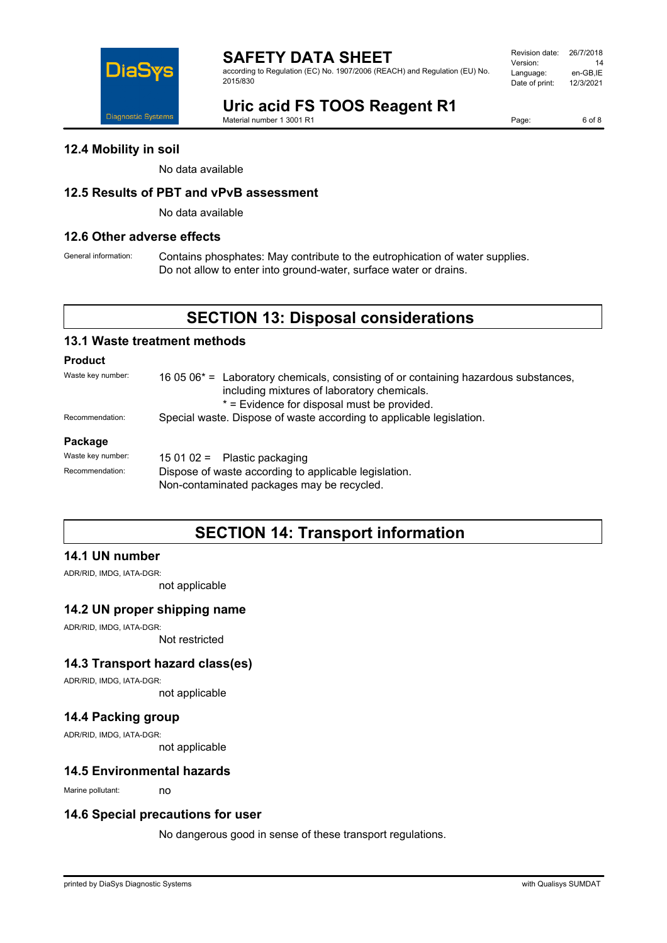

according to Regulation (EC) No. 1907/2006 (REACH) and Regulation (EU) No. 2015/830

| Revision date: | 26/7/2018 |
|----------------|-----------|
| Version:       | 14        |
| Language:      | en-GB.IE  |
| Date of print: | 12/3/2021 |
|                |           |

# **Uric acid FS TOOS Reagent R1**

Material number 1 3001 R1

Page: 6 of 8

#### **12.4 Mobility in soil**

No data available

### **12.5 Results of PBT and vPvB assessment**

No data available

#### **12.6 Other adverse effects**

General information: Contains phosphates: May contribute to the eutrophication of water supplies. Do not allow to enter into ground-water, surface water or drains.

## **SECTION 13: Disposal considerations**

#### **13.1 Waste treatment methods**

#### **Product**

| Waste key number: | 16 05 06 <sup>*</sup> = Laboratory chemicals, consisting of or containing hazardous substances,<br>including mixtures of laboratory chemicals.<br>* = Evidence for disposal must be provided. |  |
|-------------------|-----------------------------------------------------------------------------------------------------------------------------------------------------------------------------------------------|--|
| Recommendation:   | Special waste. Dispose of waste according to applicable legislation.                                                                                                                          |  |
| Package           |                                                                                                                                                                                               |  |
| Waste key number: | 15 01 02 = Plastic packaging                                                                                                                                                                  |  |
| Recommendation:   | Dispose of waste according to applicable legislation.                                                                                                                                         |  |

Non-contaminated packages may be recycled.

### **SECTION 14: Transport information**

#### **14.1 UN number**

ADR/RID, IMDG, IATA-DGR:

not applicable

#### **14.2 UN proper shipping name**

ADR/RID, IMDG, IATA-DGR:

Not restricted

### **14.3 Transport hazard class(es)**

ADR/RID, IMDG, IATA-DGR:

not applicable

### **14.4 Packing group**

ADR/RID, IMDG, IATA-DGR:

not applicable

#### **14.5 Environmental hazards**

Marine pollutant: no

#### **14.6 Special precautions for user**

No dangerous good in sense of these transport regulations.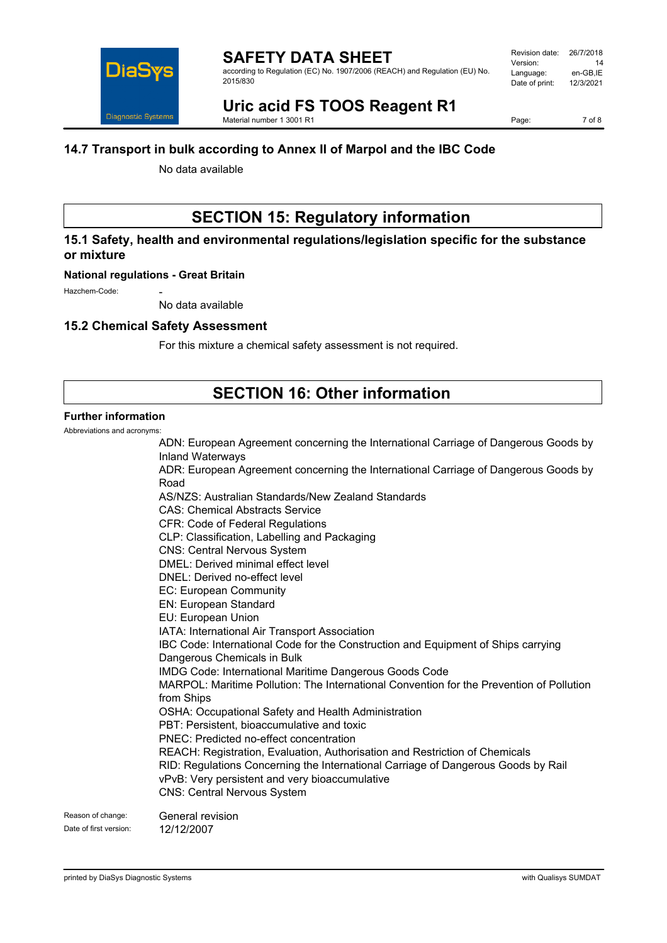

according to Regulation (EC) No. 1907/2006 (REACH) and Regulation (EU) No. 2015/830

#### **Uric acid FS TOOS Reagent R1** Material number 1 3001 R1

Page: 7 of 8

### **14.7 Transport in bulk according to Annex II of Marpol and the IBC Code**

No data available

# **SECTION 15: Regulatory information**

### **15.1 Safety, health and environmental regulations/legislation specific for the substance or mixture**

#### **National regulations - Great Britain**

Hazchem-Code:

No data available

### **15.2 Chemical Safety Assessment**

For this mixture a chemical safety assessment is not required.

# **SECTION 16: Other information**

### **Further information**

Abbreviations and acronyms:

|               | ADN: European Agreement concerning the International Carriage of Dangerous Goods by<br><b>Inland Waterways</b>                                                                                                                                           |
|---------------|----------------------------------------------------------------------------------------------------------------------------------------------------------------------------------------------------------------------------------------------------------|
|               | ADR: European Agreement concerning the International Carriage of Dangerous Goods by<br>Road                                                                                                                                                              |
|               | AS/NZS: Australian Standards/New Zealand Standards<br><b>CAS: Chemical Abstracts Service</b><br><b>CFR: Code of Federal Regulations</b><br>CLP: Classification, Labelling and Packaging<br><b>CNS: Central Nervous System</b>                            |
|               | DMEL: Derived minimal effect level<br>DNEL: Derived no-effect level                                                                                                                                                                                      |
|               | <b>EC: European Community</b><br><b>EN: European Standard</b><br>EU: European Union                                                                                                                                                                      |
|               | IATA: International Air Transport Association<br>IBC Code: International Code for the Construction and Equipment of Ships carrying<br>Dangerous Chemicals in Bulk                                                                                        |
|               | IMDG Code: International Maritime Dangerous Goods Code<br>MARPOL: Maritime Pollution: The International Convention for the Prevention of Pollution<br>from Ships                                                                                         |
|               | OSHA: Occupational Safety and Health Administration<br>PBT: Persistent, bioaccumulative and toxic<br>PNEC: Predicted no-effect concentration                                                                                                             |
|               | REACH: Registration, Evaluation, Authorisation and Restriction of Chemicals<br>RID: Regulations Concerning the International Carriage of Dangerous Goods by Rail<br>vPvB: Very persistent and very bioaccumulative<br><b>CNS: Central Nervous System</b> |
| ige:<br>eion: | General revision<br>12/12/2007                                                                                                                                                                                                                           |

Reason of chan

Date of first version: 12/12/2007